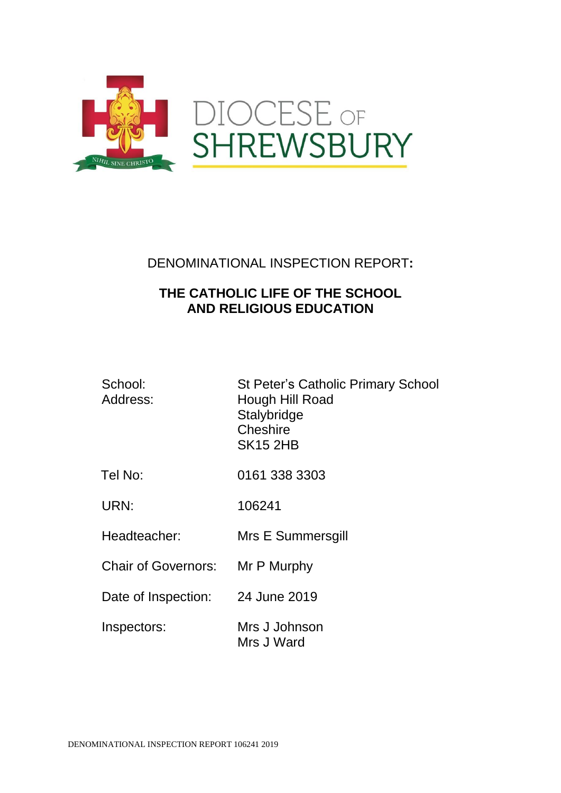

# DENOMINATIONAL INSPECTION REPORT**:**

# **THE CATHOLIC LIFE OF THE SCHOOL AND RELIGIOUS EDUCATION**

| School:<br>Address:        | <b>St Peter's Catholic Primary School</b><br>Hough Hill Road<br>Stalybridge<br>Cheshire<br><b>SK15 2HB</b> |
|----------------------------|------------------------------------------------------------------------------------------------------------|
| Tel No:                    | 0161 338 3303                                                                                              |
| URN:                       | 106241                                                                                                     |
| Headteacher:               | Mrs E Summersgill                                                                                          |
| <b>Chair of Governors:</b> | Mr P Murphy                                                                                                |
| Date of Inspection:        | 24 June 2019                                                                                               |
| Inspectors:                | Mrs J Johnson<br>Mrs J Ward                                                                                |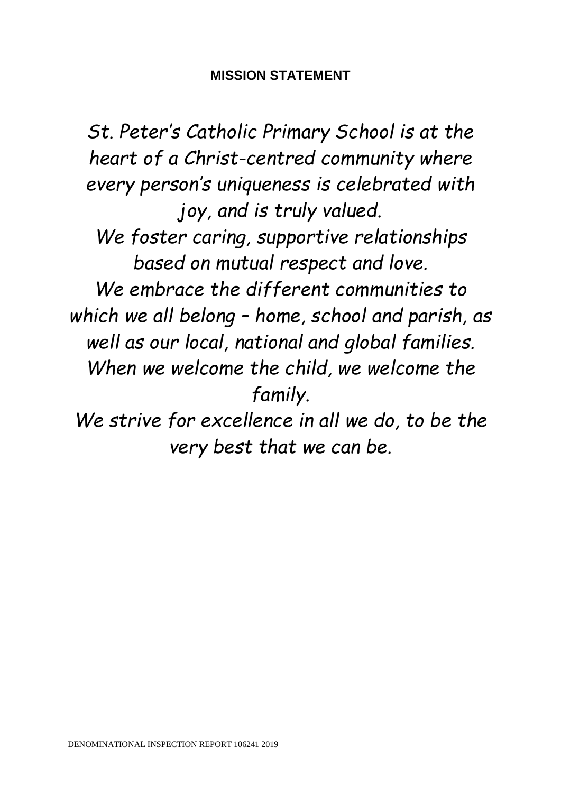# **MISSION STATEMENT**

*St. Peter's Catholic Primary School is at the heart of a Christ-centred community where every person's uniqueness is celebrated with joy, and is truly valued. We foster caring, supportive relationships based on mutual respect and love. We embrace the different communities to which we all belong – home, school and parish, as well as our local, national and global families. When we welcome the child, we welcome the family. We strive for excellence in all we do, to be the* 

*very best that we can be.*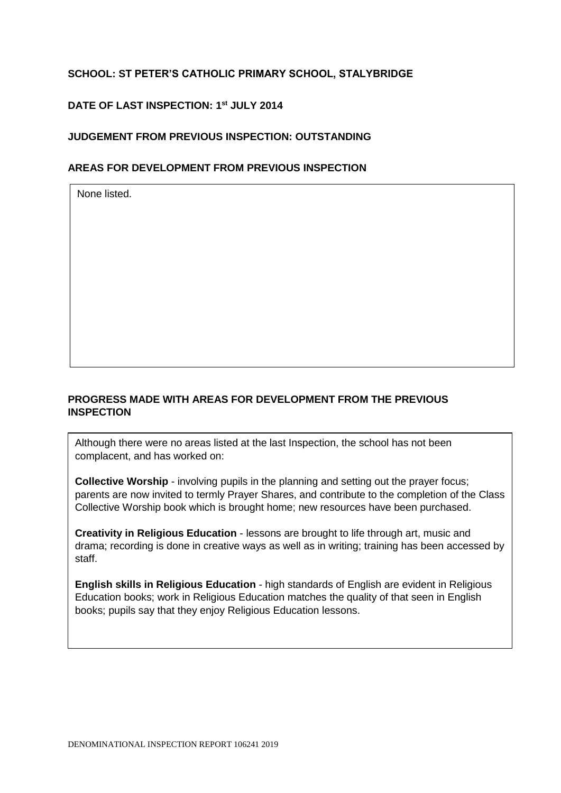# **SCHOOL: ST PETER'S CATHOLIC PRIMARY SCHOOL, STALYBRIDGE**

## **DATE OF LAST INSPECTION: 1 st JULY 2014**

## **JUDGEMENT FROM PREVIOUS INSPECTION: OUTSTANDING**

## **AREAS FOR DEVELOPMENT FROM PREVIOUS INSPECTION**

None listed.

# **PROGRESS MADE WITH AREAS FOR DEVELOPMENT FROM THE PREVIOUS INSPECTION**

Although there were no areas listed at the last Inspection, the school has not been complacent, and has worked on:

**Collective Worship** - involving pupils in the planning and setting out the prayer focus; parents are now invited to termly Prayer Shares, and contribute to the completion of the Class Collective Worship book which is brought home; new resources have been purchased.

**Creativity in Religious Education** - lessons are brought to life through art, music and drama; recording is done in creative ways as well as in writing; training has been accessed by staff.

**English skills in Religious Education** - high standards of English are evident in Religious Education books; work in Religious Education matches the quality of that seen in English books; pupils say that they enjoy Religious Education lessons.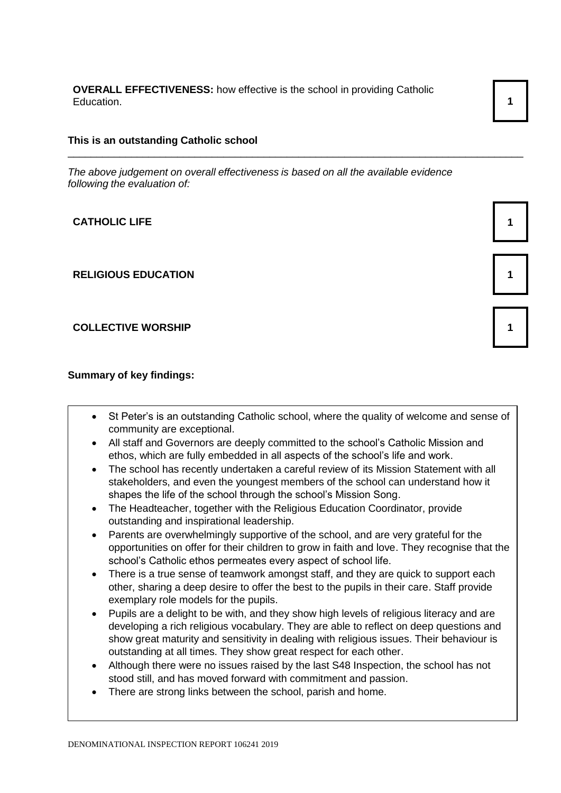**OVERALL EFFECTIVENESS:** how effective is the school in providing Catholic Education. **1** 1

#### **This is an outstanding Catholic school**

*The above judgement on overall effectiveness is based on all the available evidence following the evaluation of:*

\_\_\_\_\_\_\_\_\_\_\_\_\_\_\_\_\_\_\_\_\_\_\_\_\_\_\_\_\_\_\_\_\_\_\_\_\_\_\_\_\_\_\_\_\_\_\_\_\_\_\_\_\_\_\_\_\_\_\_\_\_\_\_\_\_\_\_\_\_\_\_\_\_\_\_\_\_\_\_

**CATHOLIC LIFE 1** 

**RELIGIOUS EDUCATION 1**

**COLLECTIVE WORSHIP 1**

**Summary of key findings:**

- St Peter's is an outstanding Catholic school, where the quality of welcome and sense of community are exceptional.
- All staff and Governors are deeply committed to the school's Catholic Mission and ethos, which are fully embedded in all aspects of the school's life and work.
- The school has recently undertaken a careful review of its Mission Statement with all stakeholders, and even the youngest members of the school can understand how it shapes the life of the school through the school's Mission Song.
- The Headteacher, together with the Religious Education Coordinator, provide outstanding and inspirational leadership.
- Parents are overwhelmingly supportive of the school, and are very grateful for the opportunities on offer for their children to grow in faith and love. They recognise that the school's Catholic ethos permeates every aspect of school life.
- There is a true sense of teamwork amongst staff, and they are quick to support each other, sharing a deep desire to offer the best to the pupils in their care. Staff provide exemplary role models for the pupils.
- Pupils are a delight to be with, and they show high levels of religious literacy and are developing a rich religious vocabulary. They are able to reflect on deep questions and show great maturity and sensitivity in dealing with religious issues. Their behaviour is outstanding at all times. They show great respect for each other.
- Although there were no issues raised by the last S48 Inspection, the school has not stood still, and has moved forward with commitment and passion.
- There are strong links between the school, parish and home.

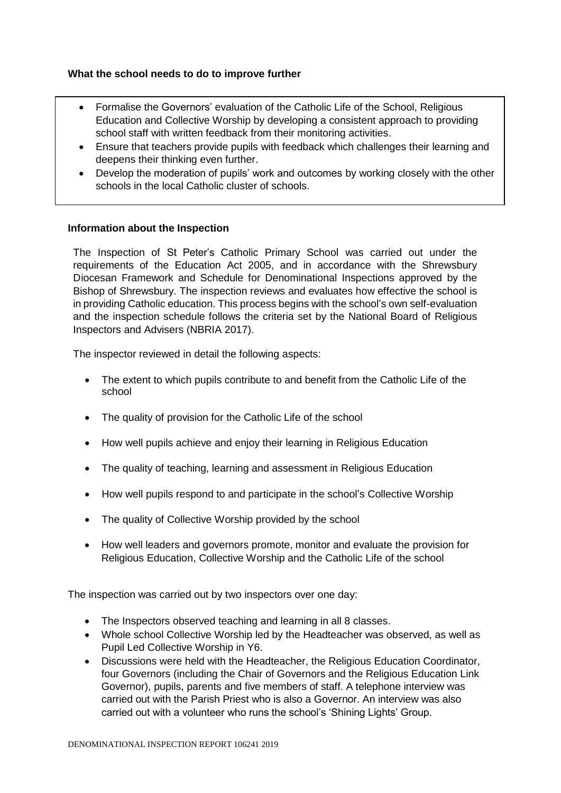## **What the school needs to do to improve further**

- Formalise the Governors' evaluation of the Catholic Life of the School, Religious Education and Collective Worship by developing a consistent approach to providing school staff with written feedback from their monitoring activities.
- Ensure that teachers provide pupils with feedback which challenges their learning and deepens their thinking even further.
- Develop the moderation of pupils' work and outcomes by working closely with the other schools in the local Catholic cluster of schools.

### **Information about the Inspection**

The Inspection of St Peter's Catholic Primary School was carried out under the requirements of the Education Act 2005, and in accordance with the Shrewsbury Diocesan Framework and Schedule for Denominational Inspections approved by the Bishop of Shrewsbury. The inspection reviews and evaluates how effective the school is in providing Catholic education. This process begins with the school's own self-evaluation and the inspection schedule follows the criteria set by the National Board of Religious Inspectors and Advisers (NBRIA 2017).

The inspector reviewed in detail the following aspects:

- The extent to which pupils contribute to and benefit from the Catholic Life of the school
- The quality of provision for the Catholic Life of the school
- How well pupils achieve and enjoy their learning in Religious Education
- The quality of teaching, learning and assessment in Religious Education
- How well pupils respond to and participate in the school's Collective Worship
- The quality of Collective Worship provided by the school
- How well leaders and governors promote, monitor and evaluate the provision for Religious Education, Collective Worship and the Catholic Life of the school

The inspection was carried out by two inspectors over one day:

- The Inspectors observed teaching and learning in all 8 classes.
- Whole school Collective Worship led by the Headteacher was observed, as well as Pupil Led Collective Worship in Y6.
- Discussions were held with the Headteacher, the Religious Education Coordinator, four Governors (including the Chair of Governors and the Religious Education Link Governor), pupils, parents and five members of staff. A telephone interview was carried out with the Parish Priest who is also a Governor. An interview was also carried out with a volunteer who runs the school's 'Shining Lights' Group.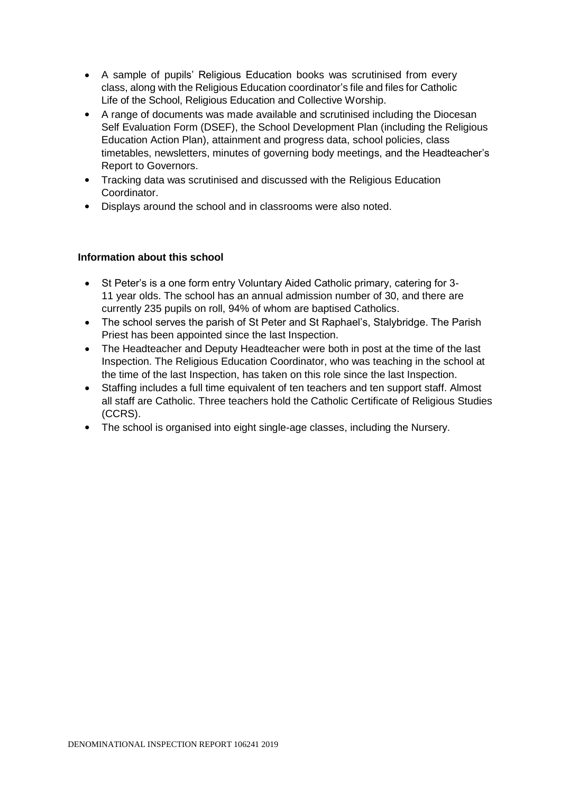- A sample of pupils' Religious Education books was scrutinised from every class, along with the Religious Education coordinator's file and files for Catholic Life of the School, Religious Education and Collective Worship.
- A range of documents was made available and scrutinised including the Diocesan Self Evaluation Form (DSEF), the School Development Plan (including the Religious Education Action Plan), attainment and progress data, school policies, class timetables, newsletters, minutes of governing body meetings, and the Headteacher's Report to Governors.
- Tracking data was scrutinised and discussed with the Religious Education Coordinator.
- Displays around the school and in classrooms were also noted.

## **Information about this school**

- St Peter's is a one form entry Voluntary Aided Catholic primary, catering for 3- 11 year olds. The school has an annual admission number of 30, and there are currently 235 pupils on roll, 94% of whom are baptised Catholics.
- The school serves the parish of St Peter and St Raphael's, Stalybridge. The Parish Priest has been appointed since the last Inspection.
- The Headteacher and Deputy Headteacher were both in post at the time of the last Inspection. The Religious Education Coordinator, who was teaching in the school at the time of the last Inspection, has taken on this role since the last Inspection.
- Staffing includes a full time equivalent of ten teachers and ten support staff. Almost all staff are Catholic. Three teachers hold the Catholic Certificate of Religious Studies (CCRS).
- The school is organised into eight single-age classes, including the Nursery.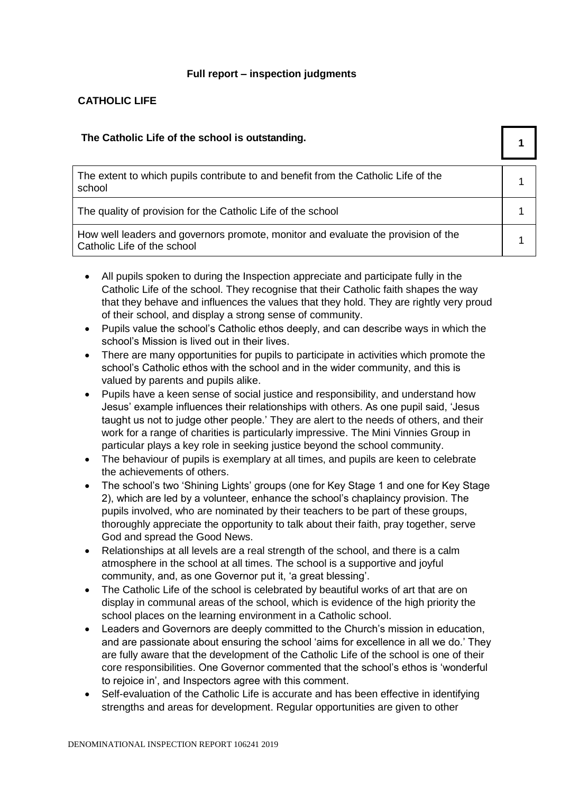### **Full report – inspection judgments**

## **CATHOLIC LIFE**

| The Catholic Life of the school is outstanding.                                                                  |  |
|------------------------------------------------------------------------------------------------------------------|--|
| The extent to which pupils contribute to and benefit from the Catholic Life of the<br>school                     |  |
| The quality of provision for the Catholic Life of the school                                                     |  |
| How well leaders and governors promote, monitor and evaluate the provision of the<br>Catholic Life of the school |  |

- All pupils spoken to during the Inspection appreciate and participate fully in the Catholic Life of the school. They recognise that their Catholic faith shapes the way that they behave and influences the values that they hold. They are rightly very proud of their school, and display a strong sense of community.
- Pupils value the school's Catholic ethos deeply, and can describe ways in which the school's Mission is lived out in their lives.
- There are many opportunities for pupils to participate in activities which promote the school's Catholic ethos with the school and in the wider community, and this is valued by parents and pupils alike.
- Pupils have a keen sense of social justice and responsibility, and understand how Jesus' example influences their relationships with others. As one pupil said, 'Jesus taught us not to judge other people.' They are alert to the needs of others, and their work for a range of charities is particularly impressive. The Mini Vinnies Group in particular plays a key role in seeking justice beyond the school community.
- The behaviour of pupils is exemplary at all times, and pupils are keen to celebrate the achievements of others.
- The school's two 'Shining Lights' groups (one for Key Stage 1 and one for Key Stage 2), which are led by a volunteer, enhance the school's chaplaincy provision. The pupils involved, who are nominated by their teachers to be part of these groups, thoroughly appreciate the opportunity to talk about their faith, pray together, serve God and spread the Good News.
- Relationships at all levels are a real strength of the school, and there is a calm atmosphere in the school at all times. The school is a supportive and joyful community, and, as one Governor put it, 'a great blessing'.
- The Catholic Life of the school is celebrated by beautiful works of art that are on display in communal areas of the school, which is evidence of the high priority the school places on the learning environment in a Catholic school.
- Leaders and Governors are deeply committed to the Church's mission in education, and are passionate about ensuring the school 'aims for excellence in all we do.' They are fully aware that the development of the Catholic Life of the school is one of their core responsibilities. One Governor commented that the school's ethos is 'wonderful to rejoice in', and Inspectors agree with this comment.
- Self-evaluation of the Catholic Life is accurate and has been effective in identifying strengths and areas for development. Regular opportunities are given to other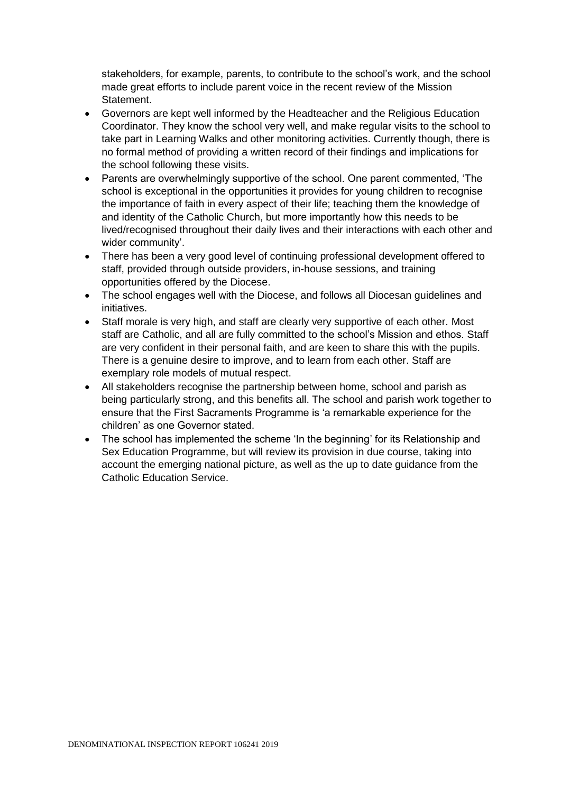stakeholders, for example, parents, to contribute to the school's work, and the school made great efforts to include parent voice in the recent review of the Mission Statement.

- Governors are kept well informed by the Headteacher and the Religious Education Coordinator. They know the school very well, and make regular visits to the school to take part in Learning Walks and other monitoring activities. Currently though, there is no formal method of providing a written record of their findings and implications for the school following these visits.
- Parents are overwhelmingly supportive of the school. One parent commented, 'The school is exceptional in the opportunities it provides for young children to recognise the importance of faith in every aspect of their life; teaching them the knowledge of and identity of the Catholic Church, but more importantly how this needs to be lived/recognised throughout their daily lives and their interactions with each other and wider community'.
- There has been a very good level of continuing professional development offered to staff, provided through outside providers, in-house sessions, and training opportunities offered by the Diocese.
- The school engages well with the Diocese, and follows all Diocesan guidelines and initiatives.
- Staff morale is very high, and staff are clearly very supportive of each other. Most staff are Catholic, and all are fully committed to the school's Mission and ethos. Staff are very confident in their personal faith, and are keen to share this with the pupils. There is a genuine desire to improve, and to learn from each other. Staff are exemplary role models of mutual respect.
- All stakeholders recognise the partnership between home, school and parish as being particularly strong, and this benefits all. The school and parish work together to ensure that the First Sacraments Programme is 'a remarkable experience for the children' as one Governor stated.
- The school has implemented the scheme 'In the beginning' for its Relationship and Sex Education Programme, but will review its provision in due course, taking into account the emerging national picture, as well as the up to date guidance from the Catholic Education Service.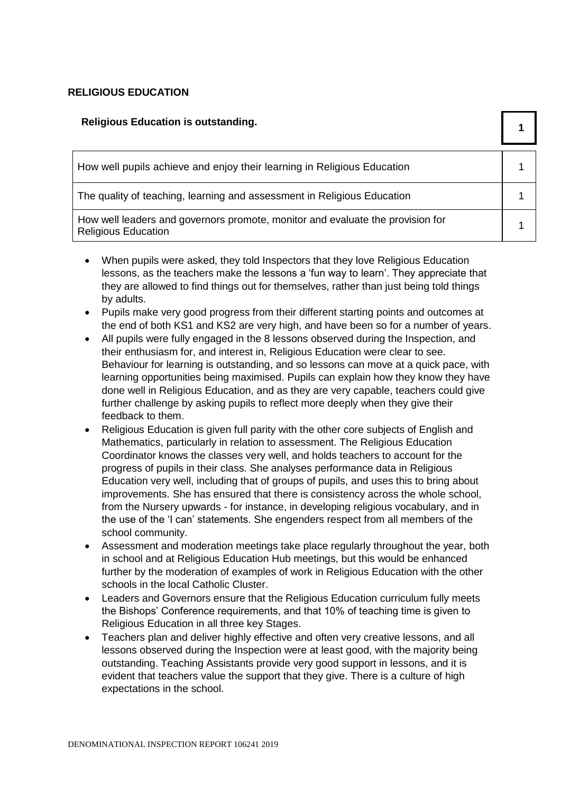## **RELIGIOUS EDUCATION**

| <b>Religious Education is outstanding.</b>                                                                   |  |
|--------------------------------------------------------------------------------------------------------------|--|
| How well pupils achieve and enjoy their learning in Religious Education                                      |  |
| The quality of teaching, learning and assessment in Religious Education                                      |  |
| How well leaders and governors promote, monitor and evaluate the provision for<br><b>Religious Education</b> |  |

- When pupils were asked, they told Inspectors that they love Religious Education lessons, as the teachers make the lessons a 'fun way to learn'. They appreciate that they are allowed to find things out for themselves, rather than just being told things by adults.
- Pupils make very good progress from their different starting points and outcomes at the end of both KS1 and KS2 are very high, and have been so for a number of years.
- All pupils were fully engaged in the 8 lessons observed during the Inspection, and their enthusiasm for, and interest in, Religious Education were clear to see. Behaviour for learning is outstanding, and so lessons can move at a quick pace, with learning opportunities being maximised. Pupils can explain how they know they have done well in Religious Education, and as they are very capable, teachers could give further challenge by asking pupils to reflect more deeply when they give their feedback to them.
- Religious Education is given full parity with the other core subjects of English and Mathematics, particularly in relation to assessment. The Religious Education Coordinator knows the classes very well, and holds teachers to account for the progress of pupils in their class. She analyses performance data in Religious Education very well, including that of groups of pupils, and uses this to bring about improvements. She has ensured that there is consistency across the whole school, from the Nursery upwards - for instance, in developing religious vocabulary, and in the use of the 'I can' statements. She engenders respect from all members of the school community.
- Assessment and moderation meetings take place regularly throughout the year, both in school and at Religious Education Hub meetings, but this would be enhanced further by the moderation of examples of work in Religious Education with the other schools in the local Catholic Cluster.
- Leaders and Governors ensure that the Religious Education curriculum fully meets the Bishops' Conference requirements, and that 10% of teaching time is given to Religious Education in all three key Stages.
- Teachers plan and deliver highly effective and often very creative lessons, and all lessons observed during the Inspection were at least good, with the majority being outstanding. Teaching Assistants provide very good support in lessons, and it is evident that teachers value the support that they give. There is a culture of high expectations in the school.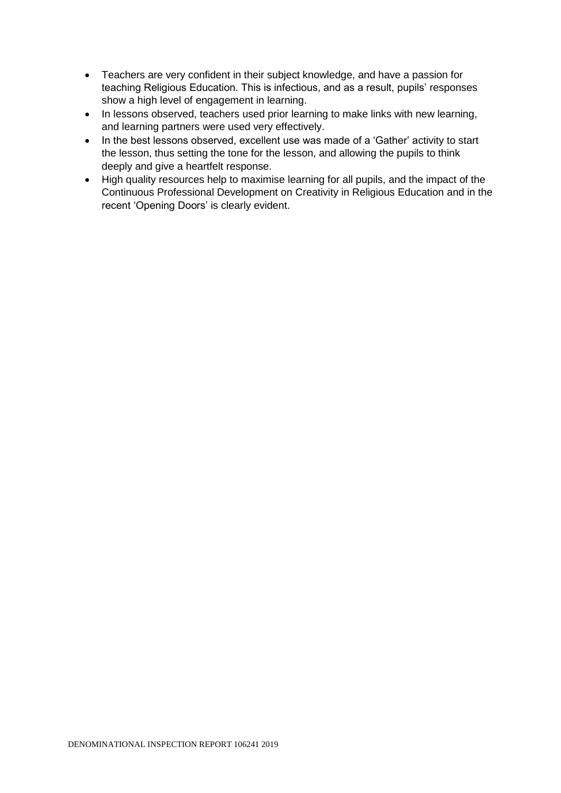- Teachers are very confident in their subject knowledge, and have a passion for teaching Religious Education. This is infectious, and as a result, pupils' responses show a high level of engagement in learning.
- In lessons observed, teachers used prior learning to make links with new learning, and learning partners were used very effectively.
- In the best lessons observed, excellent use was made of a 'Gather' activity to start the lesson, thus setting the tone for the lesson, and allowing the pupils to think deeply and give a heartfelt response.
- High quality resources help to maximise learning for all pupils, and the impact of the Continuous Professional Development on Creativity in Religious Education and in the recent 'Opening Doors' is clearly evident.